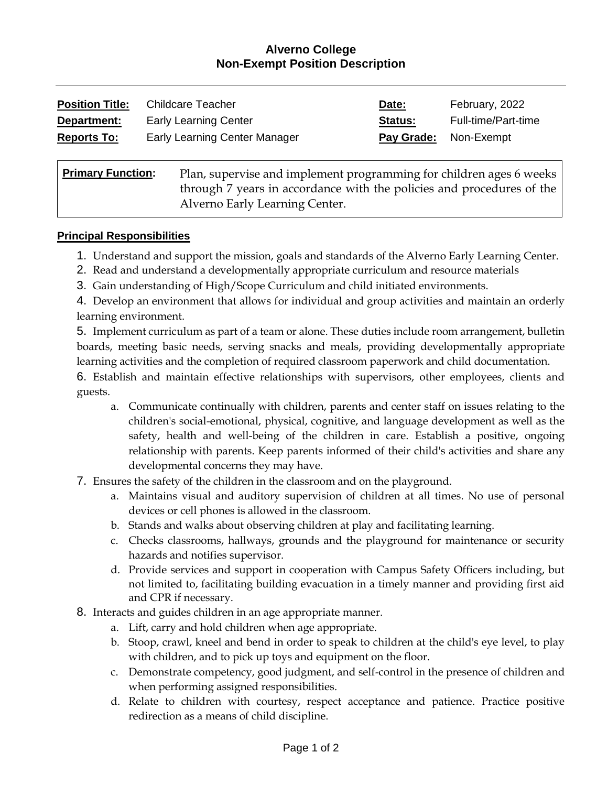## **Alverno College Non-Exempt Position Description**

| <b>Position Title:</b> | Childcare Teacher             | Date:      | February, 2022      |
|------------------------|-------------------------------|------------|---------------------|
| Department:            | <b>Early Learning Center</b>  | Status:    | Full-time/Part-time |
| <b>Reports To:</b>     | Early Learning Center Manager | Pay Grade: | Non-Exempt          |
|                        |                               |            |                     |

| <b>Primary Function:</b> | Plan, supervise and implement programming for children ages 6 weeks   |  |
|--------------------------|-----------------------------------------------------------------------|--|
|                          | through 7 years in accordance with the policies and procedures of the |  |
|                          | Alverno Early Learning Center.                                        |  |

#### **Principal Responsibilities**

- 1. Understand and support the mission, goals and standards of the Alverno Early Learning Center.
- 2. Read and understand a developmentally appropriate curriculum and resource materials
- 3. Gain understanding of High/Scope Curriculum and child initiated environments.

4. Develop an environment that allows for individual and group activities and maintain an orderly learning environment.

5. Implement curriculum as part of a team or alone. These duties include room arrangement, bulletin boards, meeting basic needs, serving snacks and meals, providing developmentally appropriate learning activities and the completion of required classroom paperwork and child documentation.

6. Establish and maintain effective relationships with supervisors, other employees, clients and guests.

- a. Communicate continually with children, parents and center staff on issues relating to the children's social-emotional, physical, cognitive, and language development as well as the safety, health and well-being of the children in care. Establish a positive, ongoing relationship with parents. Keep parents informed of their child's activities and share any developmental concerns they may have.
- 7. Ensures the safety of the children in the classroom and on the playground.
	- a. Maintains visual and auditory supervision of children at all times. No use of personal devices or cell phones is allowed in the classroom.
	- b. Stands and walks about observing children at play and facilitating learning.
	- c. Checks classrooms, hallways, grounds and the playground for maintenance or security hazards and notifies supervisor.
	- d. Provide services and support in cooperation with Campus Safety Officers including, but not limited to, facilitating building evacuation in a timely manner and providing first aid and CPR if necessary.
- 8. Interacts and guides children in an age appropriate manner.
	- a. Lift, carry and hold children when age appropriate.
	- b. Stoop, crawl, kneel and bend in order to speak to children at the child's eye level, to play with children, and to pick up toys and equipment on the floor.
	- c. Demonstrate competency, good judgment, and self-control in the presence of children and when performing assigned responsibilities.
	- d. Relate to children with courtesy, respect acceptance and patience. Practice positive redirection as a means of child discipline.